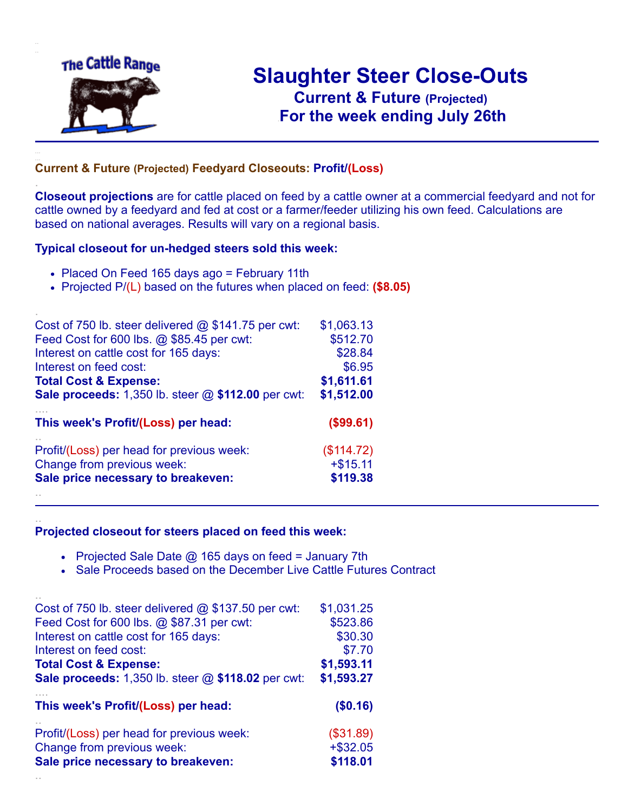

.

..

..

# **Slaughter Steer Close-Outs Current & Future (Projected)** .**For the week ending July 26th**

#### **Current & Future (Projected) Feedyard Closeouts: Profit/(Loss)**

**Closeout projections** are for cattle placed on feed by a cattle owner at a commercial feedyard and not for cattle owned by a feedyard and fed at cost or a farmer/feeder utilizing his own feed. Calculations are based on national averages. Results will vary on a regional basis.

#### **Typical closeout for un-hedged steers sold this week:**

- Placed On Feed 165 days ago = February 11th
- Projected P/(L) based on the futures when placed on feed: **(\$8.05)**

| Cost of 750 lb. steer delivered $@$ \$141.75 per cwt:       | \$1,063.13 |
|-------------------------------------------------------------|------------|
| Feed Cost for 600 lbs. @ \$85.45 per cwt:                   | \$512.70   |
| Interest on cattle cost for 165 days:                       | \$28.84    |
| Interest on feed cost:                                      | \$6.95     |
| <b>Total Cost &amp; Expense:</b>                            | \$1,611.61 |
| <b>Sale proceeds:</b> 1,350 lb. steer $@$ \$112.00 per cwt: | \$1,512.00 |
| This week's Profit/(Loss) per head:                         | (\$99.61)  |
| Profit/(Loss) per head for previous week:                   | (\$114.72) |
| Change from previous week:                                  | $+ $15.11$ |
| Sale price necessary to breakeven:                          | \$119.38   |
|                                                             |            |

#### **Projected closeout for steers placed on feed this week:**

- Projected Sale Date  $@$  165 days on feed = January 7th
- Sale Proceeds based on the December Live Cattle Futures Contract

| Cost of 750 lb. steer delivered $@$ \$137.50 per cwt:     | \$1,031.25  |
|-----------------------------------------------------------|-------------|
| Feed Cost for 600 lbs. @ \$87.31 per cwt:                 | \$523.86    |
| Interest on cattle cost for 165 days:                     | \$30.30     |
| Interest on feed cost:                                    | \$7.70      |
| <b>Total Cost &amp; Expense:</b>                          | \$1,593.11  |
| <b>Sale proceeds:</b> 1,350 lb. steer @ \$118.02 per cwt: | \$1,593.27  |
|                                                           |             |
| This week's Profit/(Loss) per head:                       | (\$0.16)    |
| Profit/(Loss) per head for previous week:                 | (\$31.89)   |
| Change from previous week:                                | $+$ \$32.05 |
| Sale price necessary to breakeven:                        | \$118.01    |